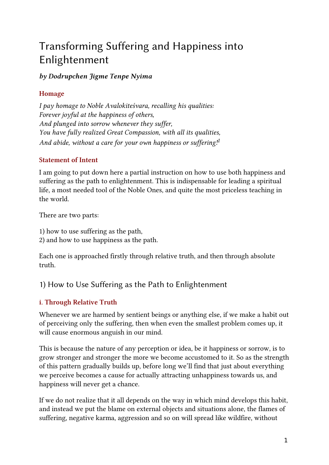# Transforming Suffering and Happiness into Enlightenment

### by Dodrupchen Jigme Tenpe Nyima

## Homage

I pay homage to Noble Avalokiteśvara, recalling his qualities: Forever joyful at the happiness of others, And plunged into sorrow whenever they suffer, You have fully realized Great Compassion, with all its qualities, And abide, without a care for your own happiness or suffering!<sup>[1](#fn:1)</sup>

#### Statement of Intent

I am going to put down here a partial instruction on how to use both happiness and suffering as the path to enlightenment. This is indispensable for leading a spiritual life, a most needed tool of the Noble Ones, and quite the most priceless teaching in the world.

There are two parts:

1) how to use suffering as the path,

2) and how to use happiness as the path.

Each one is approached firstly through relative truth, and then through absolute truth.

# 1) How to Use Suffering as the Path to Enlightenment

## i. Through Relative Truth

Whenever we are harmed by sentient beings or anything else, if we make a habit out of perceiving only the suffering, then when even the smallest problem comes up, it will cause enormous anguish in our mind.

This is because the nature of any perception or idea, be it happiness or sorrow, is to grow stronger and stronger the more we become accustomed to it. So as the strength of this pattern gradually builds up, before long we'll find that just about everything we perceive becomes a cause for actually attracting unhappiness towards us, and happiness will never get a chance.

If we do not realize that it all depends on the way in which mind develops this habit, and instead we put the blame on external objects and situations alone, the flames of suffering, negative karma, aggression and so on will spread like wildfire, without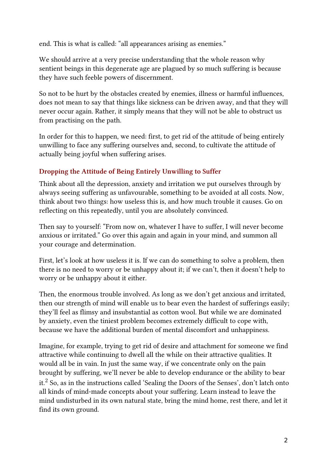end. This is what is called: "all appearances arising as enemies."

We should arrive at a very precise understanding that the whole reason why sentient beings in this degenerate age are plagued by so much suffering is because they have such feeble powers of discernment.

So not to be hurt by the obstacles created by enemies, illness or harmful influences, does not mean to say that things like sickness can be driven away, and that they will never occur again. Rather, it simply means that they will not be able to obstruct us from practising on the path.

In order for this to happen, we need: first, to get rid of the attitude of being entirely unwilling to face any suffering ourselves and, second, to cultivate the attitude of actually being joyful when suffering arises.

#### Dropping the Attitude of Being Entirely Unwilling to Suffer

Think about all the depression, anxiety and irritation we put ourselves through by always seeing suffering as unfavourable, something to be avoided at all costs. Now, think about two things: how useless this is, and how much trouble it causes. Go on reflecting on this repeatedly, until you are absolutely convinced.

Then say to yourself: "From now on, whatever I have to suffer, I will never become anxious or irritated." Go over this again and again in your mind, and summon all your courage and determination.

First, let's look at how useless it is. If we can do something to solve a problem, then there is no need to worry or be unhappy about it; if we can't, then it doesn't help to worry or be unhappy about it either.

Then, the enormous trouble involved. As long as we don't get anxious and irritated, then our strength of mind will enable us to bear even the hardest of sufferings easily; they'll feel as flimsy and insubstantial as cotton wool. But while we are dominated by anxiety, even the tiniest problem becomes extremely difficult to cope with, because we have the additional burden of mental discomfort and unhappiness.

Imagine, for example, trying to get rid of desire and attachment for someone we find attractive while continuing to dwell all the while on their attractive qualities. It would all be in vain. In just the same way, if we concentrate only on the pain brought by suffering, we'll never be able to develop endurance or the ability to bear it. $2$  So, as in the instructions called 'Sealing the Doors of the Senses', don't latch onto all kinds of mind-made concepts about your suffering. Learn instead to leave the mind undisturbed in its own natural state, bring the mind home, rest there, and let it find its own ground.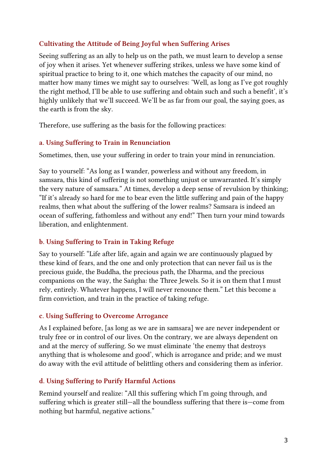#### Cultivating the Attitude of Being Joyful when Suffering Arises

Seeing suffering as an ally to help us on the path, we must learn to develop a sense of joy when it arises. Yet whenever suffering strikes, unless we have some kind of spiritual practice to bring to it, one which matches the capacity of our mind, no matter how many times we might say to ourselves: 'Well, as long as I've got roughly the right method, I'll be able to use suffering and obtain such and such a benefit', it's highly unlikely that we'll succeed. We'll be as far from our goal, the saying goes, as the earth is from the sky.

Therefore, use suffering as the basis for the following practices:

#### a. Using Suffering to Train in Renunciation

Sometimes, then, use your suffering in order to train your mind in renunciation.

Say to yourself: "As long as I wander, powerless and without any freedom, in samsara, this kind of suffering is not something unjust or unwarranted. It's simply the very nature of samsara." At times, develop a deep sense of revulsion by thinking; "If it's already so hard for me to bear even the little suffering and pain of the happy realms, then what about the suffering of the lower realms? Samsara is indeed an ocean of suffering, fathomless and without any end!" Then turn your mind towards liberation, and enlightenment.

#### b. Using Suffering to Train in Taking Refuge

Say to yourself: "Life after life, again and again we are continuously plagued by these kind of fears, and the one and only protection that can never fail us is the precious guide, the Buddha, the precious path, the Dharma, and the precious companions on the way, the Saṅgha: the Three Jewels. So it is on them that I must rely, entirely. Whatever happens, I will never renounce them." Let this become a firm conviction, and train in the practice of taking refuge.

#### c. Using Suffering to Overcome Arrogance

As I explained before, [as long as we are in samsara] we are never independent or truly free or in control of our lives. On the contrary, we are always dependent on and at the mercy of suffering. So we must eliminate 'the enemy that destroys anything that is wholesome and good', which is arrogance and pride; and we must do away with the evil attitude of belittling others and considering them as inferior.

#### d. Using Suffering to Purify Harmful Actions

Remind yourself and realize: "All this suffering which I'm going through, and suffering which is greater still—all the boundless suffering that there is—come from nothing but harmful, negative actions."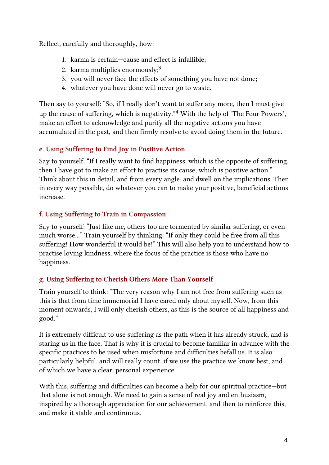Reflect, carefully and thoroughly, how:

- 1. karma is certain—cause and effect is infallible;
- 2. karma multiplies enormously;<sup>[3](#fn:3)</sup>
- 3. you will never face the effects of something you have not done;
- 4. whatever you have done will never go to waste.

Then say to yourself: "So, if I really don't want to suffer any more, then I must give up the cause of suffering, which is negativity."<sup>[4](#fn:4)</sup> With the help of 'The Four Powers', make an effort to acknowledge and purify all the negative actions you have accumulated in the past, and then firmly resolve to avoid doing them in the future.

## e. Using Suffering to Find Joy in Positive Action

Say to yourself: "If I really want to find happiness, which is the opposite of suffering, then I have got to make an effort to practise its cause, which is positive action." Think about this in detail, and from every angle, and dwell on the implications. Then in every way possible, do whatever you can to make your positive, beneficial actions increase.

## f. Using Suffering to Train in Compassion

Say to yourself: "Just like me, others too are tormented by similar suffering, or even much worse..." Train yourself by thinking: "If only they could be free from all this suffering! How wonderful it would be!" This will also help you to understand how to practise loving kindness, where the focus of the practice is those who have no happiness.

## g. Using Suffering to Cherish Others More Than Yourself

Train yourself to think: "The very reason why I am not free from suffering such as this is that from time immemorial I have cared only about myself. Now, from this moment onwards, I will only cherish others, as this is the source of all happiness and good."

It is extremely difficult to use suffering as the path when it has already struck, and is staring us in the face. That is why it is crucial to become familiar in advance with the specific practices to be used when misfortune and difficulties befall us. It is also particularly helpful, and will really count, if we use the practice we know best, and of which we have a clear, personal experience.

With this, suffering and difficulties can become a help for our spiritual practice—but that alone is not enough. We need to gain a sense of real joy and enthusiasm, inspired by a thorough appreciation for our achievement, and then to reinforce this, and make it stable and continuous.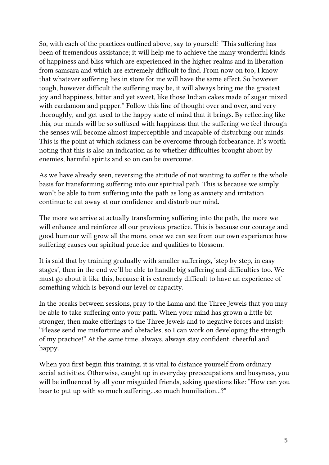So, with each of the practices outlined above, say to yourself: "This suffering has been of tremendous assistance; it will help me to achieve the many wonderful kinds of happiness and bliss which are experienced in the higher realms and in liberation from samsara and which are extremely difficult to find. From now on too, I know that whatever suffering lies in store for me will have the same effect. So however tough, however difficult the suffering may be, it will always bring me the greatest joy and happiness, bitter and yet sweet, like those Indian cakes made of sugar mixed with cardamom and pepper." Follow this line of thought over and over, and very thoroughly, and get used to the happy state of mind that it brings. By reflecting like this, our minds will be so suffused with happiness that the suffering we feel through the senses will become almost imperceptible and incapable of disturbing our minds. This is the point at which sickness can be overcome through forbearance. It's worth noting that this is also an indication as to whether difficulties brought about by enemies, harmful spirits and so on can be overcome.

As we have already seen, reversing the attitude of not wanting to suffer is the whole basis for transforming suffering into our spiritual path. This is because we simply won't be able to turn suffering into the path as long as anxiety and irritation continue to eat away at our confidence and disturb our mind.

The more we arrive at actually transforming suffering into the path, the more we will enhance and reinforce all our previous practice. This is because our courage and good humour will grow all the more, once we can see from our own experience how suffering causes our spiritual practice and qualities to blossom.

It is said that by training gradually with smaller sufferings, 'step by step, in easy stages', then in the end we'll be able to handle big suffering and difficulties too. We must go about it like this, because it is extremely difficult to have an experience of something which is beyond our level or capacity.

In the breaks between sessions, pray to the Lama and the Three Jewels that you may be able to take suffering onto your path. When your mind has grown a little bit stronger, then make offerings to the Three Jewels and to negative forces and insist: "Please send me misfortune and obstacles, so I can work on developing the strength of my practice!" At the same time, always, always stay confident, cheerful and happy.

When you first begin this training, it is vital to distance yourself from ordinary social activities. Otherwise, caught up in everyday preoccupations and busyness, you will be influenced by all your misguided friends, asking questions like: "How can you bear to put up with so much suffering...so much humiliation...?"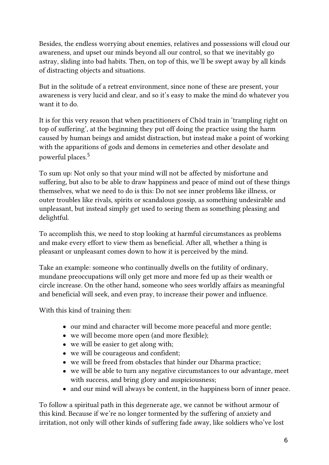Besides, the endless worrying about enemies, relatives and possessions will cloud our awareness, and upset our minds beyond all our control, so that we inevitably go astray, sliding into bad habits. Then, on top of this, we'll be swept away by all kinds of distracting objects and situations.

But in the solitude of a retreat environment, since none of these are present, your awareness is very lucid and clear, and so it's easy to make the mind do whatever you want it to do.

It is for this very reason that when practitioners of Chöd train in 'trampling right on top of suffering', at the beginning they put off doing the practice using the harm caused by human beings and amidst distraction, but instead make a point of working with the apparitions of gods and demons in cemeteries and other desolate and powerful places. [5](#fn:5)

To sum up: Not only so that your mind will not be affected by misfortune and suffering, but also to be able to draw happiness and peace of mind out of these things themselves, what we need to do is this: Do not see inner problems like illness, or outer troubles like rivals, spirits or scandalous gossip, as something undesirable and unpleasant, but instead simply get used to seeing them as something pleasing and delightful.

To accomplish this, we need to stop looking at harmful circumstances as problems and make every effort to view them as beneficial. After all, whether a thing is pleasant or unpleasant comes down to how it is perceived by the mind.

Take an example: someone who continually dwells on the futility of ordinary, mundane preoccupations will only get more and more fed up as their wealth or circle increase. On the other hand, someone who sees worldly affairs as meaningful and beneficial will seek, and even pray, to increase their power and influence.

With this kind of training then:

- our mind and character will become more peaceful and more gentle;
- we will become more open (and more flexible);
- we will be easier to get along with;
- we will be courageous and confident;
- we will be freed from obstacles that hinder our Dharma practice;
- we will be able to turn any negative circumstances to our advantage, meet with success, and bring glory and auspiciousness;
- and our mind will always be content, in the happiness born of inner peace.

To follow a spiritual path in this degenerate age, we cannot be without armour of this kind. Because if we're no longer tormented by the suffering of anxiety and irritation, not only will other kinds of suffering fade away, like soldiers who've lost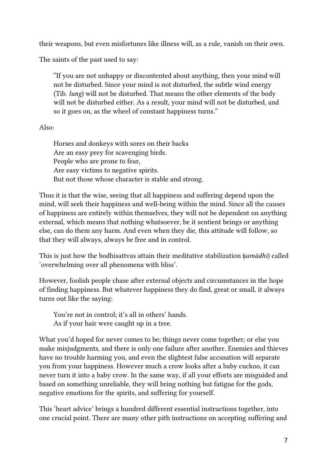their weapons, but even misfortunes like illness will, as a rule, vanish on their own.

The saints of the past used to say:

"If you are not unhappy or discontented about anything, then your mind will not be disturbed. Since your mind is not disturbed, the subtle wind energy (Tib. lung) will not be disturbed. That means the other elements of the body will not be disturbed either. As a result, your mind will not be disturbed, and so it goes on, as the wheel of constant happiness turns."

#### Also:

Horses and donkeys with sores on their backs Are an easy prey for scavenging birds. People who are prone to fear, Are easy victims to negative spirits. But not those whose character is stable and strong.

Thus it is that the wise, seeing that all happiness and suffering depend upon the mind, will seek their happiness and well-being within the mind. Since all the causes of happiness are entirely within themselves, they will not be dependent on anything external, which means that nothing whatsoever, be it sentient beings or anything else, can do them any harm. And even when they die, this attitude will follow, so that they will always, always be free and in control.

This is just how the bodhisattvas attain their meditative stabilization (samādhi) called 'overwhelming over all phenomena with bliss'.

However, foolish people chase after external objects and circumstances in the hope of finding happiness. But whatever happiness they do find, great or small, it always turns out like the saying:

You're not in control; it's all in others' hands. As if your hair were caught up in a tree.

What you'd hoped for never comes to be; things never come together; or else you make misjudgments, and there is only one failure after another. Enemies and thieves have no trouble harming you, and even the slightest false accusation will separate you from your happiness. However much a crow looks after a baby cuckoo, it can never turn it into a baby crow. In the same way, if all your efforts are misguided and based on something unreliable, they will bring nothing but fatigue for the gods, negative emotions for the spirits, and suffering for yourself.

This 'heart advice' brings a hundred different essential instructions together, into one crucial point. There are many other pith instructions on accepting suffering and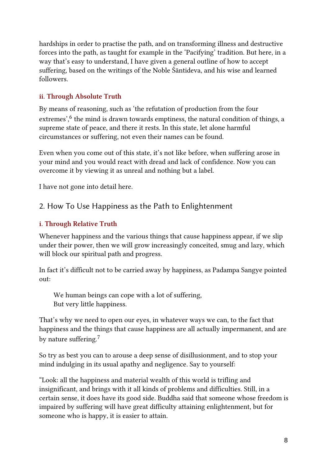hardships in order to practise the path, and on transforming illness and destructive forces into the path, as taught for example in the 'Pacifying' tradition. But here, in a way that's easy to understand, I have given a general outline of how to accept suffering, based on the writings of the Noble Śāntideva, and his wise and learned followers.

## ii. Through Absolute Truth

By means of reasoning, such as 'the refutation of production from the four extremes',<sup>[6](#fn:6)</sup> the mind is drawn towards emptiness, the natural condition of things, a supreme state of peace, and there it rests. In this state, let alone harmful circumstances or suffering, not even their names can be found.

Even when you come out of this state, it's not like before, when suffering arose in your mind and you would react with dread and lack of confidence. Now you can overcome it by viewing it as unreal and nothing but a label.

I have not gone into detail here.

# 2. How To Use Happiness as the Path to Enlightenment

## i. Through Relative Truth

Whenever happiness and the various things that cause happiness appear, if we slip under their power, then we will grow increasingly conceited, smug and lazy, which will block our spiritual path and progress.

In fact it's difficult not to be carried away by happiness, as Padampa Sangye pointed out:

We human beings can cope with a lot of suffering, But very little happiness.

That's why we need to open our eyes, in whatever ways we can, to the fact that happiness and the things that cause happiness are all actually impermanent, and are by nature suffering.<sup>[7](#fn:7)</sup>

So try as best you can to arouse a deep sense of disillusionment, and to stop your mind indulging in its usual apathy and negligence. Say to yourself:

"Look: all the happiness and material wealth of this world is trifling and insignificant, and brings with it all kinds of problems and difficulties. Still, in a certain sense, it does have its good side. Buddha said that someone whose freedom is impaired by suffering will have great difficulty attaining enlightenment, but for someone who is happy, it is easier to attain.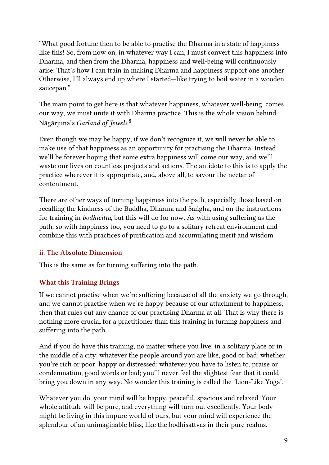"What good fortune then to be able to practise the Dharma in a state of happiness like this! So, from now on, in whatever way I can, I must convert this happiness into Dharma, and then from the Dharma, happiness and well-being will continuously arise. That's how I can train in making Dharma and happiness support one another. Otherwise, I'll always end up where I started—like trying to boil water in a wooden saucepan."

The main point to get here is that whatever happiness, whatever well-being, comes our way, we must unite it with Dharma practice. This is the whole vision behind Nāgārjuna's *Garland of Jewels*.<sup>[8](#fn:8)</sup>

Even though we may be happy, if we don't recognize it, we will never be able to make use of that happiness as an opportunity for practising the Dharma. Instead we'll be forever hoping that some extra happiness will come our way, and we'll waste our lives on countless projects and actions. The antidote to this is to apply the practice wherever it is appropriate, and, above all, to savour the nectar of contentment.

There are other ways of turning happiness into the path, especially those based on recalling the kindness of the Buddha, Dharma and Saṅgha, and on the instructions for training in bodhicitta, but this will do for now. As with using suffering as the path, so with happiness too, you need to go to a solitary retreat environment and combine this with practices of purification and accumulating merit and wisdom.

#### ii. The Absolute Dimension

This is the same as for turning suffering into the path.

#### What this Training Brings

If we cannot practise when we're suffering because of all the anxiety we go through, and we cannot practise when we're happy because of our attachment to happiness, then that rules out any chance of our practising Dharma at all. That is why there is nothing more crucial for a practitioner than this training in turning happiness and suffering into the path.

And if you do have this training, no matter where you live, in a solitary place or in the middle of a city; whatever the people around you are like, good or bad; whether you're rich or poor, happy or distressed; whatever you have to listen to, praise or condemnation, good words or bad; you'll never feel the slightest fear that it could bring you down in any way. No wonder this training is called the 'Lion-Like Yoga'.

Whatever you do, your mind will be happy, peaceful, spacious and relaxed. Your whole attitude will be pure, and everything will turn out excellently. Your body might be living in this impure world of ours, but your mind will experience the splendour of an unimaginable bliss, like the bodhisattvas in their pure realms.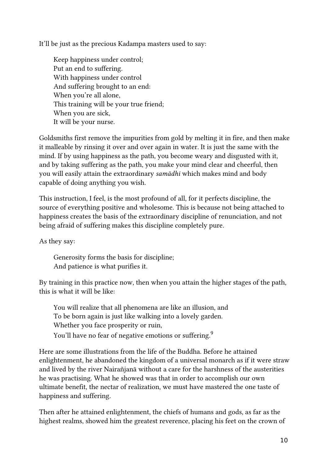It'll be just as the precious Kadampa masters used to say:

Keep happiness under control; Put an end to suffering. With happiness under control And suffering brought to an end: When you're all alone, This training will be your true friend; When you are sick, It will be your nurse.

Goldsmiths first remove the impurities from gold by melting it in fire, and then make it malleable by rinsing it over and over again in water. It is just the same with the mind. If by using happiness as the path, you become weary and disgusted with it, and by taking suffering as the path, you make your mind clear and cheerful, then you will easily attain the extraordinary samādhi which makes mind and body capable of doing anything you wish.

This instruction, I feel, is the most profound of all, for it perfects discipline, the source of everything positive and wholesome. This is because not being attached to happiness creates the basis of the extraordinary discipline of renunciation, and not being afraid of suffering makes this discipline completely pure.

As they say:

Generosity forms the basis for discipline; And patience is what purifies it.

By training in this practice now, then when you attain the higher stages of the path, this is what it will be like:

You will realize that all phenomena are like an illusion, and To be born again is just like walking into a lovely garden. Whether you face prosperity or ruin, You'll have no fear of negative emotions or suffering. $^9$  $^9$ 

Here are some illustrations from the life of the Buddha. Before he attained enlightenment, he abandoned the kingdom of a universal monarch as if it were straw and lived by the river Nairañjanā without a care for the harshness of the austerities he was practising. What he showed was that in order to accomplish our own ultimate benefit, the nectar of realization, we must have mastered the one taste of happiness and suffering.

Then after he attained enlightenment, the chiefs of humans and gods, as far as the highest realms, showed him the greatest reverence, placing his feet on the crown of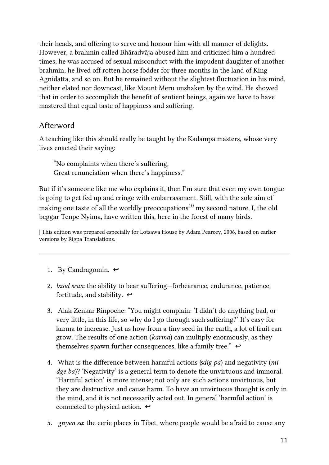their heads, and offering to serve and honour him with all manner of delights. However, a brahmin called Bhāradvāja abused him and criticized him a hundred times; he was accused of sexual misconduct with the impudent daughter of another brahmin; he lived off rotten horse fodder for three months in the land of King Agnidatta, and so on. But he remained without the slightest fluctuation in his mind, neither elated nor downcast, like Mount Meru unshaken by the wind. He showed that in order to accomplish the benefit of sentient beings, again we have to have mastered that equal taste of happiness and suffering.

## Afterword

A teaching like this should really be taught by the Kadampa masters, whose very lives enacted their saying:

"No complaints when there's suffering, Great renunciation when there's happiness."

But if it's someone like me who explains it, then I'm sure that even my own tongue is going to get fed up and cringe with embarrassment. Still, with the sole aim of making one taste of all the worldly preoccupations $^{10}$  $^{10}$  $^{10}$  my second nature, I, the old beggar Tenpe Nyima, have written this, here in the forest of many birds.

| This edition was prepared especially for Lotsawa House by Adam Pearcey, 2006, based on earlier versions by Rigpa Translations.

- 1. By Candragomin.  $\leftrightarrow$
- 2. bzod sran: the ability to bear suffering—forbearance, endurance, patience, fortitude, and stability.  $\leftrightarrow$
- 3. Alak Zenkar Rinpoche: "You might complain: 'I didn't do anything bad, or very little, in this life, so why do I go through such suffering?' It's easy for karma to increase. Just as how from a tiny seed in the earth, a lot of fruit can grow. The results of one action (karma) can multiply enormously, as they themselves spawn further consequences, like a family tree."  $\leftrightarrow$
- 4. What is the difference between harmful actions (sdig pa) and negativity (mi dge ba)? 'Negativity' is a general term to denote the unvirtuous and immoral. 'Harmful action' is more intense; not only are such actions unvirtuous, but they are destructive and cause harm. To have an unvirtuous thought is only in the mind, and it is not necessarily acted out. In general 'harmful action' is connected to physical action.  $\leftrightarrow$
- 5. gnyen sa: the eerie places in Tibet, where people would be afraid to cause any